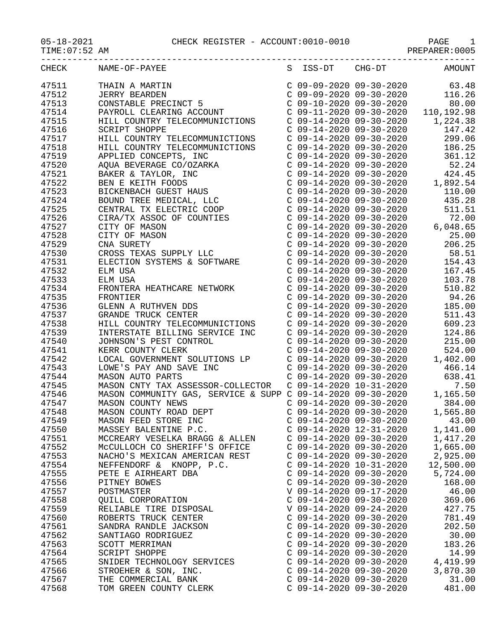|       | CHECK NAME-OF-PAYEE<br>S ISS-DT CHG-DT AMOUNT                                                                                                                                                                                                      |                           |                         |           |
|-------|----------------------------------------------------------------------------------------------------------------------------------------------------------------------------------------------------------------------------------------------------|---------------------------|-------------------------|-----------|
| 47511 | THAIN A MARTIN<br>JERRY BEARDEN<br>C 09-09-2020 09-30-2020 63.48<br>C 09-09-2020 09-30-2020 116.26<br>C 09-10-2020 09-30-2020 110,192.98<br>PAYROLL CLEARING ACCOUNT<br>FILL COUNTRY TELECOMMUNICTIONS<br>C 09-14-2020 09-30-2020 110,192.98       |                           |                         |           |
| 47512 |                                                                                                                                                                                                                                                    |                           |                         |           |
| 47513 |                                                                                                                                                                                                                                                    |                           |                         |           |
| 47514 |                                                                                                                                                                                                                                                    |                           |                         |           |
| 47515 |                                                                                                                                                                                                                                                    |                           |                         |           |
| 47516 |                                                                                                                                                                                                                                                    |                           |                         |           |
| 47517 |                                                                                                                                                                                                                                                    |                           |                         |           |
| 47518 |                                                                                                                                                                                                                                                    |                           |                         |           |
| 47519 |                                                                                                                                                                                                                                                    |                           |                         |           |
|       |                                                                                                                                                                                                                                                    |                           |                         |           |
| 47520 |                                                                                                                                                                                                                                                    |                           |                         |           |
| 47521 |                                                                                                                                                                                                                                                    |                           |                         |           |
| 47522 |                                                                                                                                                                                                                                                    |                           |                         |           |
| 47523 |                                                                                                                                                                                                                                                    |                           |                         |           |
| 47524 |                                                                                                                                                                                                                                                    |                           |                         |           |
| 47525 |                                                                                                                                                                                                                                                    |                           |                         |           |
| 47526 |                                                                                                                                                                                                                                                    |                           |                         |           |
| 47527 |                                                                                                                                                                                                                                                    |                           |                         |           |
| 47528 |                                                                                                                                                                                                                                                    |                           |                         |           |
| 47529 |                                                                                                                                                                                                                                                    |                           |                         |           |
| 47530 |                                                                                                                                                                                                                                                    |                           |                         |           |
| 47531 |                                                                                                                                                                                                                                                    |                           |                         |           |
| 47532 |                                                                                                                                                                                                                                                    |                           |                         |           |
| 47533 |                                                                                                                                                                                                                                                    |                           | C 09-14-2020 09-30-2020 | 103.78    |
| 47534 | ELM USA<br>FRONTERA HEATHCARE NETWORK C 09-14-2020 09-30-2020<br>C 09-14-2020 09-30-2020                                                                                                                                                           |                           |                         | 510.82    |
| 47535 |                                                                                                                                                                                                                                                    |                           |                         |           |
| 47536 | FRONTIER<br>GLENN A RUTHVEN DDS<br>GRANDE TRUCK CENTER<br>GRANDE TRUCK CENTER<br>ELECOMMUNICTIONS<br>C 09-14-2020 09-30-2020<br>C 09-14-2020 09-30-2020<br>C 09-14-2020 09-30-2020<br>511.43<br>HILL COUNTRY TELECOMMUNICTIONS<br>C 09-14-2020 09- |                           |                         |           |
| 47537 |                                                                                                                                                                                                                                                    |                           |                         |           |
| 47538 |                                                                                                                                                                                                                                                    |                           |                         |           |
| 47539 |                                                                                                                                                                                                                                                    |                           |                         |           |
| 47540 |                                                                                                                                                                                                                                                    |                           |                         |           |
| 47541 | INTERSTATE BILLING SERVICE INC<br>JOHNSON'S PEST CONTROL C 09-14-2020 09-30-2020 215.00<br>KERR COUNTY CLERK COUNTY SOLUTIONS LP<br>LOCAL GOVERNMENT SOLUTIONS LP C 09-14-2020 09-30-2020 1,402.00<br>LONE'S PAY AND SAVE INC C 09-14-             |                           |                         |           |
|       |                                                                                                                                                                                                                                                    |                           |                         |           |
| 47542 |                                                                                                                                                                                                                                                    |                           |                         |           |
| 47543 |                                                                                                                                                                                                                                                    |                           |                         |           |
| 47544 | MASON AUTO PARTS<br>MASON CNTY TAX ASSESSOR-COLLECTOR C 09-14-2020 09-30-2020 638.41<br>MASON COMMUNITY GAS, SERVICE & SUPP C 09-14-2020 09-30-2020 1,165.50<br>MASON COUNTY NEWS C 09-14-2020 09-30-2020 1,165.50<br>MASON COUNTY NEW             |                           |                         |           |
| 47545 |                                                                                                                                                                                                                                                    |                           |                         |           |
| 47546 |                                                                                                                                                                                                                                                    |                           |                         |           |
| 47547 |                                                                                                                                                                                                                                                    |                           |                         |           |
| 47548 |                                                                                                                                                                                                                                                    |                           |                         |           |
| 47549 | MASON FEED STORE INC                                                                                                                                                                                                                               | $C$ 09-14-2020 09-30-2020 |                         | 43.00     |
| 47550 | MASSEY BALENTINE P.C.                                                                                                                                                                                                                              | $C$ 09-14-2020 12-31-2020 |                         | 1,141.00  |
| 47551 | MCCREARY VESELKA BRAGG & ALLEN                                                                                                                                                                                                                     | $C$ 09-14-2020 09-30-2020 |                         | 1,417.20  |
| 47552 | MCCULLOCH CO SHERIFF'S OFFICE                                                                                                                                                                                                                      | $C$ 09-14-2020 09-30-2020 |                         | 1,665.00  |
| 47553 | NACHO'S MEXICAN AMERICAN REST                                                                                                                                                                                                                      | $C$ 09-14-2020 09-30-2020 |                         | 2,925.00  |
| 47554 | NEFFENDORF & KNOPP, P.C.                                                                                                                                                                                                                           | $C$ 09-14-2020 10-31-2020 |                         | 12,500.00 |
| 47555 | PETE E AIRHEART DBA                                                                                                                                                                                                                                | $C$ 09-14-2020 09-30-2020 |                         | 5,724.00  |
| 47556 | PITNEY BOWES                                                                                                                                                                                                                                       | $C$ 09-14-2020 09-30-2020 |                         | 168.00    |
| 47557 | POSTMASTER                                                                                                                                                                                                                                         | V 09-14-2020 09-17-2020   |                         | 46.00     |
| 47558 | QUILL CORPORATION                                                                                                                                                                                                                                  | C 09-14-2020 09-30-2020   |                         | 369.06    |
| 47559 | RELIABLE TIRE DISPOSAL                                                                                                                                                                                                                             | V 09-14-2020 09-24-2020   |                         | 427.75    |
| 47560 | ROBERTS TRUCK CENTER                                                                                                                                                                                                                               | $C$ 09-14-2020 09-30-2020 |                         | 781.49    |
| 47561 | SANDRA RANDLE JACKSON                                                                                                                                                                                                                              | $C$ 09-14-2020 09-30-2020 |                         | 202.50    |
| 47562 | SANTIAGO RODRIGUEZ                                                                                                                                                                                                                                 | $C$ 09-14-2020 09-30-2020 |                         | 30.00     |
| 47563 | SCOTT MERRIMAN                                                                                                                                                                                                                                     | $C$ 09-14-2020 09-30-2020 |                         | 183.26    |
|       |                                                                                                                                                                                                                                                    |                           |                         | 14.99     |
| 47564 | SCRIPT SHOPPE                                                                                                                                                                                                                                      | $C$ 09-14-2020 09-30-2020 |                         |           |
| 47565 | SNIDER TECHNOLOGY SERVICES                                                                                                                                                                                                                         | $C$ 09-14-2020 09-30-2020 |                         | 4,419.99  |
| 47566 | STROEHER & SON, INC.                                                                                                                                                                                                                               | $C$ 09-14-2020 09-30-2020 |                         | 3,870.30  |
| 47567 | THE COMMERCIAL BANK                                                                                                                                                                                                                                | $C$ 09-14-2020 09-30-2020 |                         | 31.00     |
| 47568 | TOM GREEN COUNTY CLERK                                                                                                                                                                                                                             | $C$ 09-14-2020 09-30-2020 |                         | 481.00    |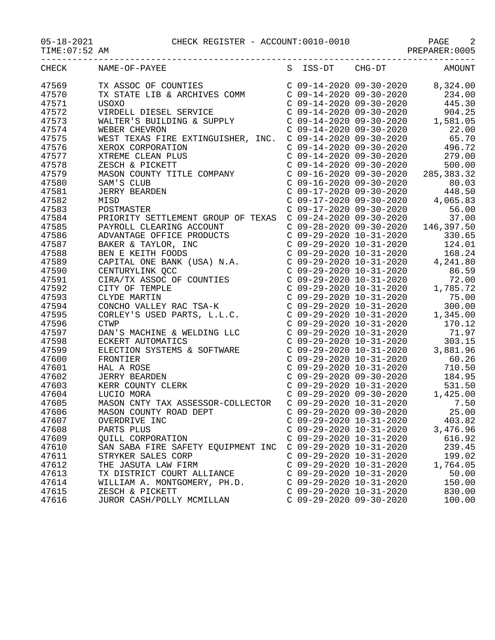| TIME:07:52 AM |                                                                                                                                                                                                                                               |                                                                                 | PREPARER: 0005                                                                                                                                                                                                                                                                                                           |
|---------------|-----------------------------------------------------------------------------------------------------------------------------------------------------------------------------------------------------------------------------------------------|---------------------------------------------------------------------------------|--------------------------------------------------------------------------------------------------------------------------------------------------------------------------------------------------------------------------------------------------------------------------------------------------------------------------|
| CHECK         |                                                                                                                                                                                                                                               |                                                                                 |                                                                                                                                                                                                                                                                                                                          |
| 47569         | TX ASSOC OF COUNTIES<br>TX STATE LIB & ARCHIVES COMM<br>USOXO                                                                                                                                                                                 |                                                                                 | $\left( \begin{array}{ccc} \text{C} & 09\text{--}14\text{--}2020 & 09\text{--}30\text{--}2020 & 8\text{, }324\text{.}00 \\ \text{C} & 09\text{--}14\text{--}2020 & 09\text{--}30\text{--}2020 & 234\text{.}00 \\ \text{C} & 09\text{--}14\text{--}2020 & 09\text{--}30\text{--}2020 & 445\text{.}30 \end{array} \right)$ |
| 47570         |                                                                                                                                                                                                                                               |                                                                                 |                                                                                                                                                                                                                                                                                                                          |
| 47571         |                                                                                                                                                                                                                                               |                                                                                 |                                                                                                                                                                                                                                                                                                                          |
| 47572         | VIRDELL DIESEL SERVICE                                                                                                                                                                                                                        | $C$ 09-14-2020 09-30-2020                                                       | 904.25                                                                                                                                                                                                                                                                                                                   |
| 47573         | WALTER'S BUILDING & SUPPLY                                                                                                                                                                                                                    | C 09-14-2020 09-30-2020                                                         | 1,581.05                                                                                                                                                                                                                                                                                                                 |
| 47574         | WEBER CHEVRON                                                                                                                                                                                                                                 | $C$ 09-14-2020 09-30-2020                                                       | 22.00                                                                                                                                                                                                                                                                                                                    |
| 47575         | WEST TEXAS FIRE EXTINGUISHER, INC. C 09-14-2020 09-30-2020                                                                                                                                                                                    |                                                                                 | 65.70                                                                                                                                                                                                                                                                                                                    |
| 47576         |                                                                                                                                                                                                                                               | $C$ 09-14-2020 09-30-2020                                                       | 496.72                                                                                                                                                                                                                                                                                                                   |
| 47577         | XEROX CORPORATION<br>XTREME CLEAN PLUS<br>ZESCH & PICKETT<br>MASON COUNTY TITLE COMPANY                                                                                                                                                       | C 09-14-2020 09-30-2020                                                         | 279.00                                                                                                                                                                                                                                                                                                                   |
| 47578         |                                                                                                                                                                                                                                               | C 09-14-2020 09-30-2020                                                         | 500.00                                                                                                                                                                                                                                                                                                                   |
| 47579         |                                                                                                                                                                                                                                               | C 09-16-2020 09-30-2020                                                         | 285, 383. 32                                                                                                                                                                                                                                                                                                             |
| 47580         | SAM'S CLUB                                                                                                                                                                                                                                    | C 09-16-2020 09-30-2020                                                         | 80.03                                                                                                                                                                                                                                                                                                                    |
| 47581         | <b>JERRY BEARDEN</b>                                                                                                                                                                                                                          | C 09-17-2020 09-30-2020                                                         | 448.50                                                                                                                                                                                                                                                                                                                   |
| 47582         | MISD                                                                                                                                                                                                                                          | C 09-17-2020 09-30-2020                                                         | 4,065.83                                                                                                                                                                                                                                                                                                                 |
| 47583         | POSTMASTER                                                                                                                                                                                                                                    | C 09-17-2020 09-30-2020                                                         | 56.00                                                                                                                                                                                                                                                                                                                    |
| 47584         | PRIORITY SETTLEMENT GROUP OF TEXAS                                                                                                                                                                                                            | C 09-24-2020 09-30-2020                                                         | 37.00                                                                                                                                                                                                                                                                                                                    |
| 47585         |                                                                                                                                                                                                                                               | C 09-28-2020 09-30-2020                                                         | 146,397.50                                                                                                                                                                                                                                                                                                               |
| 47586         |                                                                                                                                                                                                                                               |                                                                                 | 330.65                                                                                                                                                                                                                                                                                                                   |
| 47587         |                                                                                                                                                                                                                                               | $C 09-29-2020 10-31-2020$<br>$C 09-29-2020 10-31-2020$                          | 124.01                                                                                                                                                                                                                                                                                                                   |
| 47588         |                                                                                                                                                                                                                                               | C 09-29-2020 10-31-2020                                                         | 168.24                                                                                                                                                                                                                                                                                                                   |
| 47589         | PAYROLL CLEARING ACCOUNT<br>ADVANTAGE OFFICE PRODUCTS<br>BAKER & TAYLOR, INC<br>BEN E KEITH FOODS<br>CAPITAL ONE BANK (USA) N.A.<br>CENTURYLINK QCC<br>CIRA/TX ASSOC OF COUNTIES<br>CITY OF TEMPLE<br>CLYDE MARTIN<br>CONCHO VALLEY PAC TSA-Y |                                                                                 | $C$ 09-29-2020 10-31-2020 4,241.80                                                                                                                                                                                                                                                                                       |
| 47590         |                                                                                                                                                                                                                                               | C 09-29-2020 10-31-2020                                                         | 86.59                                                                                                                                                                                                                                                                                                                    |
| 47591         |                                                                                                                                                                                                                                               | C 09-29-2020 10-31-2020                                                         | 72.00                                                                                                                                                                                                                                                                                                                    |
| 47592         |                                                                                                                                                                                                                                               | C 09-29-2020 10-31-2020<br>C 09-29-2020 10-31-2020<br>C 09-29-2020 10-31-2020   | 1,785.72                                                                                                                                                                                                                                                                                                                 |
| 47593         |                                                                                                                                                                                                                                               | C 09-29-2020 10-31-2020                                                         | 75.00                                                                                                                                                                                                                                                                                                                    |
| 47594         |                                                                                                                                                                                                                                               | C 09-29-2020 10-31-2020                                                         | 300.00                                                                                                                                                                                                                                                                                                                   |
| 47595         | CONCHO VALLEY RAC TSA-K<br>CORLEY'S USED PARTS, L.L.C.<br>CULUD                                                                                                                                                                               | C 09-29-2020 10-31-2020                                                         | 1,345.00                                                                                                                                                                                                                                                                                                                 |
| 47596         | <b>CTWP</b>                                                                                                                                                                                                                                   | $C$ 09-29-2020 10-31-2020                                                       | 170.12                                                                                                                                                                                                                                                                                                                   |
| 47597         | DAN'S MACHINE & WELDING LLC                                                                                                                                                                                                                   | $C$ 09-29-2020 10-31-2020                                                       | 71.97                                                                                                                                                                                                                                                                                                                    |
| 47598         | ECKERT AUTOMATICS                                                                                                                                                                                                                             | $C$ 09-29-2020 10-31-2020                                                       | 303.15                                                                                                                                                                                                                                                                                                                   |
| 47599         |                                                                                                                                                                                                                                               | $C$ 09-29-2020 10-31-2020                                                       | 3,881.96                                                                                                                                                                                                                                                                                                                 |
| 47600         |                                                                                                                                                                                                                                               | C 09-29-2020 10-31-2020                                                         | 60.26                                                                                                                                                                                                                                                                                                                    |
| 47601         |                                                                                                                                                                                                                                               | $C$ 09-29-2020 10-31-2020                                                       | 710.50                                                                                                                                                                                                                                                                                                                   |
| 47602         |                                                                                                                                                                                                                                               | C 09-29-2020 09-30-2020<br>C 09-29-2020 10-31-2020<br>C 09-29-2020 09-30-2020 1 | 184.95                                                                                                                                                                                                                                                                                                                   |
| 47603         |                                                                                                                                                                                                                                               |                                                                                 | 531.50                                                                                                                                                                                                                                                                                                                   |
| 47604         | LUCIO MORA                                                                                                                                                                                                                                    |                                                                                 | 1,425.00                                                                                                                                                                                                                                                                                                                 |
| 47605         | MASON CNTY TAX ASSESSOR-COLLECTOR                                                                                                                                                                                                             | $C$ 09-29-2020 10-31-2020                                                       | 7.50                                                                                                                                                                                                                                                                                                                     |
| 47606         | MASON COUNTY ROAD DEPT                                                                                                                                                                                                                        | $C$ 09-29-2020 09-30-2020                                                       | 25.00                                                                                                                                                                                                                                                                                                                    |
| 47607         | OVERDRIVE INC                                                                                                                                                                                                                                 | $C$ 09-29-2020 10-31-2020                                                       | 403.82                                                                                                                                                                                                                                                                                                                   |
| 47608         | PARTS PLUS                                                                                                                                                                                                                                    | $C$ 09-29-2020 10-31-2020                                                       | 3,476.96                                                                                                                                                                                                                                                                                                                 |
| 47609         | QUILL CORPORATION                                                                                                                                                                                                                             | $C$ 09-29-2020 10-31-2020                                                       | 616.92                                                                                                                                                                                                                                                                                                                   |
| 47610         | SAN SABA FIRE SAFETY EQUIPMENT INC                                                                                                                                                                                                            | $C$ 09-29-2020 10-31-2020                                                       | 239.45                                                                                                                                                                                                                                                                                                                   |
| 47611         | STRYKER SALES CORP                                                                                                                                                                                                                            | $C$ 09-29-2020 10-31-2020                                                       | 199.02                                                                                                                                                                                                                                                                                                                   |
| 47612         | THE JASUTA LAW FIRM                                                                                                                                                                                                                           | $C$ 09-29-2020 10-31-2020                                                       | 1,764.05                                                                                                                                                                                                                                                                                                                 |
| 47613         | TX DISTRICT COURT ALLIANCE                                                                                                                                                                                                                    | $C$ 09-29-2020 10-31-2020                                                       | 50.00                                                                                                                                                                                                                                                                                                                    |
| 47614         | WILLIAM A. MONTGOMERY, PH.D.                                                                                                                                                                                                                  | $C$ 09-29-2020 10-31-2020                                                       | 150.00                                                                                                                                                                                                                                                                                                                   |
| 47615         | ZESCH & PICKETT                                                                                                                                                                                                                               | $C$ 09-29-2020 10-31-2020                                                       | 830.00                                                                                                                                                                                                                                                                                                                   |
| 47616         | JUROR CASH/POLLY MCMILLAN                                                                                                                                                                                                                     | $C$ 09-29-2020 09-30-2020                                                       | 100.00                                                                                                                                                                                                                                                                                                                   |
|               |                                                                                                                                                                                                                                               |                                                                                 |                                                                                                                                                                                                                                                                                                                          |